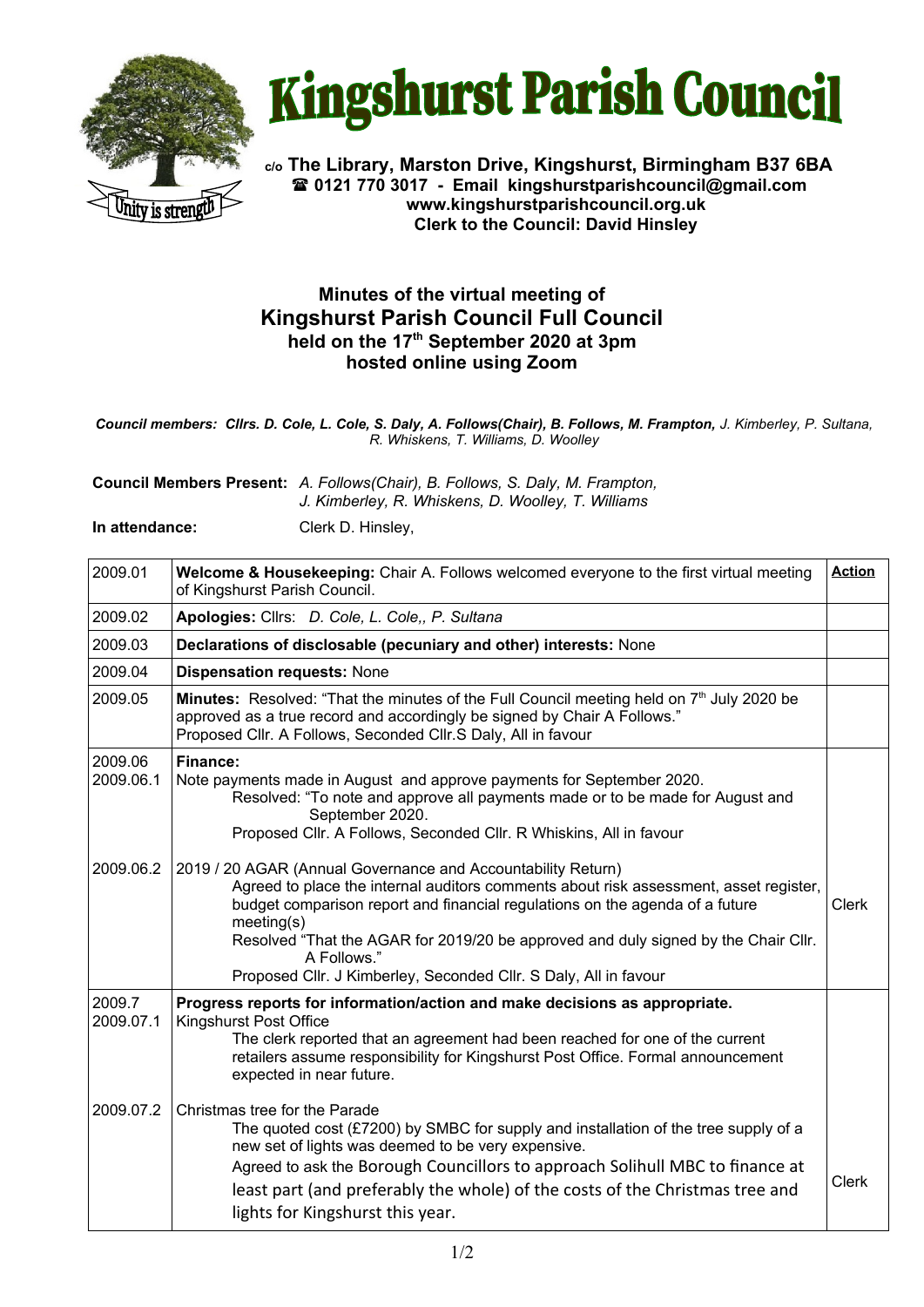



**c/o The Library, Marston Drive, Kingshurst, Birmingham B37 6BA 0121 770 3017 - Email [kingshurstparishcouncil@gmail.com](mailto:kingshurstparishcouncil@gmail.com) www.kingshurstparishcouncil.org.uk Clerk to the Council: David Hinsley** 

## **Minutes of the virtual meeting of Kingshurst Parish Council Full Council held on the 17th September 2020 at 3pm hosted online using Zoom**

*Council members: Cllrs. D. Cole, L. Cole, S. Daly, A. Follows(Chair), B. Follows, M. Frampton, J. Kimberley, P. Sultana, R. Whiskens, T. Williams, D. Woolley*

**Council Members Present:** *A. Follows(Chair), B. Follows, S. Daly, M. Frampton, J. Kimberley, R. Whiskens, D. Woolley, T. Williams*

**In attendance:** Clerk D. Hinsley,

| 2009.01              | Welcome & Housekeeping: Chair A. Follows welcomed everyone to the first virtual meeting<br>of Kingshurst Parish Council.                                                                                                                                                                                                                                                                                                     | <b>Action</b> |
|----------------------|------------------------------------------------------------------------------------------------------------------------------------------------------------------------------------------------------------------------------------------------------------------------------------------------------------------------------------------------------------------------------------------------------------------------------|---------------|
| 2009.02              | Apologies: Cllrs: D. Cole, L. Cole,, P. Sultana                                                                                                                                                                                                                                                                                                                                                                              |               |
| 2009.03              | Declarations of disclosable (pecuniary and other) interests: None                                                                                                                                                                                                                                                                                                                                                            |               |
| 2009.04              | <b>Dispensation requests: None</b>                                                                                                                                                                                                                                                                                                                                                                                           |               |
| 2009.05              | <b>Minutes:</b> Resolved: "That the minutes of the Full Council meeting held on $7th$ July 2020 be<br>approved as a true record and accordingly be signed by Chair A Follows."<br>Proposed Cllr. A Follows, Seconded Cllr.S Daly, All in favour                                                                                                                                                                              |               |
| 2009.06<br>2009.06.1 | <b>Finance:</b><br>Note payments made in August and approve payments for September 2020.<br>Resolved: "To note and approve all payments made or to be made for August and<br>September 2020.<br>Proposed Cllr. A Follows, Seconded Cllr. R Whiskins, All in favour                                                                                                                                                           |               |
| 2009.06.2            | 2019 / 20 AGAR (Annual Governance and Accountability Return)<br>Agreed to place the internal auditors comments about risk assessment, asset register,<br>budget comparison report and financial regulations on the agenda of a future<br>meeting(s)<br>Resolved "That the AGAR for 2019/20 be approved and duly signed by the Chair Cllr.<br>A Follows."<br>Proposed Cllr. J Kimberley, Seconded Cllr. S Daly, All in favour | <b>Clerk</b>  |
| 2009.7<br>2009.07.1  | Progress reports for information/action and make decisions as appropriate.<br><b>Kingshurst Post Office</b><br>The clerk reported that an agreement had been reached for one of the current<br>retailers assume responsibility for Kingshurst Post Office. Formal announcement<br>expected in near future.                                                                                                                   |               |
| 2009.07.2            | Christmas tree for the Parade<br>The quoted cost (£7200) by SMBC for supply and installation of the tree supply of a<br>new set of lights was deemed to be very expensive.<br>Agreed to ask the Borough Councillors to approach Solihull MBC to finance at<br>least part (and preferably the whole) of the costs of the Christmas tree and<br>lights for Kingshurst this year.                                               | <b>Clerk</b>  |